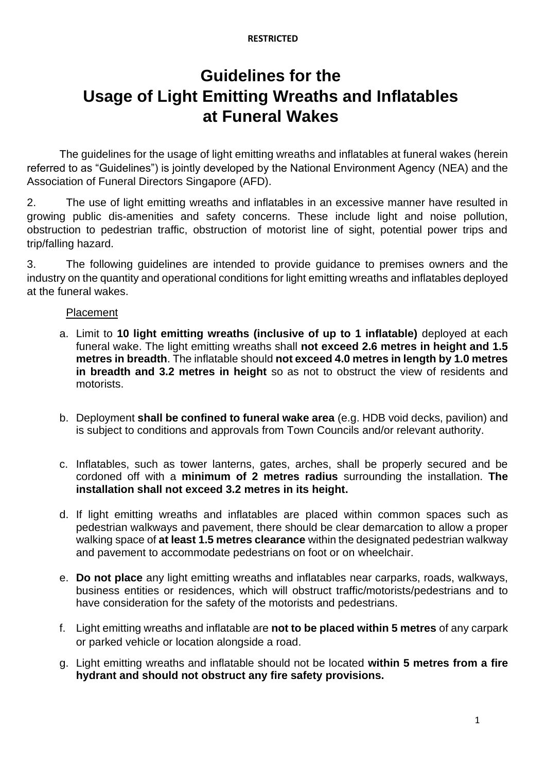#### **RESTRICTED**

# **Guidelines for the Usage of Light Emitting Wreaths and Inflatables at Funeral Wakes**

The guidelines for the usage of light emitting wreaths and inflatables at funeral wakes (herein referred to as "Guidelines") is jointly developed by the National Environment Agency (NEA) and the Association of Funeral Directors Singapore (AFD).

2. The use of light emitting wreaths and inflatables in an excessive manner have resulted in growing public dis-amenities and safety concerns. These include light and noise pollution, obstruction to pedestrian traffic, obstruction of motorist line of sight, potential power trips and trip/falling hazard.

3. The following guidelines are intended to provide guidance to premises owners and the industry on the quantity and operational conditions for light emitting wreaths and inflatables deployed at the funeral wakes.

## Placement

- a. Limit to **10 light emitting wreaths (inclusive of up to 1 inflatable)** deployed at each funeral wake. The light emitting wreaths shall **not exceed 2.6 metres in height and 1.5 metres in breadth**. The inflatable should **not exceed 4.0 metres in length by 1.0 metres in breadth and 3.2 metres in height** so as not to obstruct the view of residents and motorists.
- b. Deployment **shall be confined to funeral wake area** (e.g. HDB void decks, pavilion) and is subject to conditions and approvals from Town Councils and/or relevant authority.
- c. Inflatables, such as tower lanterns, gates, arches, shall be properly secured and be cordoned off with a **minimum of 2 metres radius** surrounding the installation. **The installation shall not exceed 3.2 metres in its height.**
- d. If light emitting wreaths and inflatables are placed within common spaces such as pedestrian walkways and pavement, there should be clear demarcation to allow a proper walking space of **at least 1.5 metres clearance** within the designated pedestrian walkway and pavement to accommodate pedestrians on foot or on wheelchair.
- e. **Do not place** any light emitting wreaths and inflatables near carparks, roads, walkways, business entities or residences, which will obstruct traffic/motorists/pedestrians and to have consideration for the safety of the motorists and pedestrians.
- f. Light emitting wreaths and inflatable are **not to be placed within 5 metres** of any carpark or parked vehicle or location alongside a road.
- g. Light emitting wreaths and inflatable should not be located **within 5 metres from a fire hydrant and should not obstruct any fire safety provisions.**